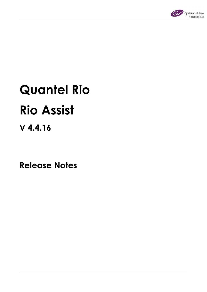

# **Quantel Rio Rio Assist**

# **V 4.4.16**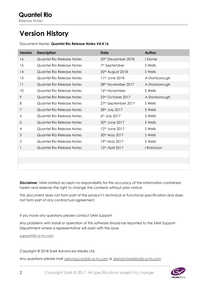# **Version History**

#### Document Name: **Quantel Rio Release Notes V4.4.16**

| <b>Version</b> | <b>Description</b>               | Date                            | Author        |
|----------------|----------------------------------|---------------------------------|---------------|
| 16             | <b>Quantel Rio Release Notes</b> | 20 <sup>th</sup> December 2018  | I Stoner      |
| 15             | Quantel Rio Release Notes        | 7 <sup>th</sup> September       | S Wells       |
| 14             | Quantel Rio Release Notes        | 30th August 2018                | S Wells       |
| 13             | Quantel Rio Release Notes        | 11 <sup>th</sup> June 2018      | A Stanborough |
| 11             | Quantel Rio Release Notes        | 28 <sup>th</sup> November 2017  | A Stanborough |
| 10             | Quantel Rio Release Notes        | 16 <sup>th</sup> November       | S Wells       |
| 9              | Quantel Rio Release Notes        | 23rd October 2017               | A Stanborough |
| 8              | Quantel Rio Release Notes        | 27 <sup>th</sup> September 2017 | S Wells       |
| 7              | Quantel Rio Release Notes        | 28th July 2017                  | S Wells       |
| 6              | Quantel Rio Release Notes        | 6th July 2017                   | S Wells       |
| 5              | Quantel Rio Release Notes        | 30 <sup>th</sup> June 2017      | S Wells       |
| 4              | Quantel Rio Release Notes        | 12 <sup>th</sup> June 2017      | S Wells       |
| 3              | Quantel Rio Release Notes        | 30 <sup>th</sup> May 2017       | S Wells       |
| 2              | Quantel Rio Release Notes        | 19th May 2017                   | S Wells       |
| 1              | Quantel Rio Release Notes        | 12 <sup>th</sup> April 2017     | I Robinson    |
|                |                                  |                                 |               |
|                |                                  |                                 |               |
|                |                                  |                                 |               |

**Disclaimer**: SAM Limited accepts no responsibility for the accuracy of the information contained herein and reserves the right to change the contents without prior notice.

This document does not form part of the product's technical or functional specification and does not form part of any contractual agreement.

If you have any questions please contact SAM Support

Any problems with install or operation of this software should be reported to the SAM Support Department where a representative will assist with the issue.

[support@s-a-m.com](mailto:support@s-a-m.com)

Copyright © 2018 Snell Advanced Media Ltd.

Any questions please mail [neil.maycock@s-a-m.com](mailto:neil.maycock@s-a-m.com) or [damon.hawkins@s-a-m.com](mailto:damon.hawkins@s-a-m.com)

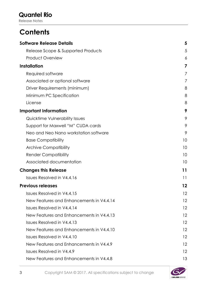Release Notes

# **Contents**

| 5  |
|----|
| 5  |
| 6  |
| 7  |
| 7  |
| 7  |
| 8  |
| 8  |
| 8  |
| 9  |
| 9  |
| 9  |
| 9  |
| 10 |
| 10 |
| 10 |
| 10 |
| 11 |
| 11 |
| 12 |
| 12 |
| 12 |
| 12 |
| 12 |
| 12 |
| 12 |
| 12 |
| 12 |
| 12 |
| 13 |
|    |

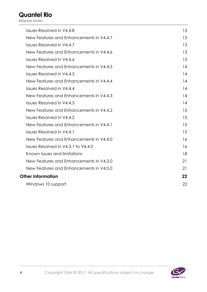| 13 |
|----|
| 13 |
| 13 |
| 13 |
| 13 |
| 14 |
| 14 |
| 14 |
| 14 |
| 14 |
| 14 |
| 15 |
| 15 |
| 15 |
| 15 |
| 16 |
| 16 |
| 18 |
| 21 |
| 21 |
| 22 |
| 22 |
|    |

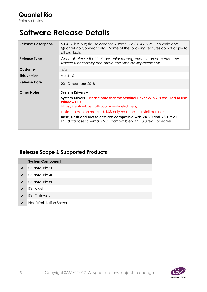# <span id="page-4-0"></span>**Software Release Details**

| <b>Release Description</b> | V4.4.16 is a bug fix release for Quantel Rio 8K, 4K & 2K, Rio Assist and<br>Quantel Rio Connect only. Some of the following features do not apply to<br>all products |  |
|----------------------------|----------------------------------------------------------------------------------------------------------------------------------------------------------------------|--|
| Release Type               | General release that includes color management improvements, new<br>Tracker functionality and audio and timeline improvements.                                       |  |
| Customer                   | $n/\alpha$                                                                                                                                                           |  |
| This version               | $V$ 4.4.16                                                                                                                                                           |  |
| Release Date               | 20 <sup>th</sup> December 2018                                                                                                                                       |  |
| <b>Other Notes</b>         | <b>System Drivers -</b>                                                                                                                                              |  |
|                            | System Drivers – Please note that the Sentinel Driver v7.5.9 is required to use<br>Windows 10                                                                        |  |
|                            | https://sentinel.gemalto.com/sentinel-drivers/<br>Note the Version required, USB only no need to install parallel:                                                   |  |
|                            | Base, Desk and Dict folders are compatible with V4.3.0 and V3.1 rev 1.<br>This database schema is NOT compatible with V3.0 rev 1 or earlier.                         |  |

### <span id="page-4-1"></span>**Release Scope & Supported Products**

|   | <b>System Component</b> |
|---|-------------------------|
| ✔ | Quantel Rio 2K          |
| ✔ | Quantel Rio 4K          |
| ✔ | Quantel Rio 8K          |
| ✔ | Rio Assist              |
| ✔ | Rio Gateway             |
| ✔ | Neo Workstation Server  |

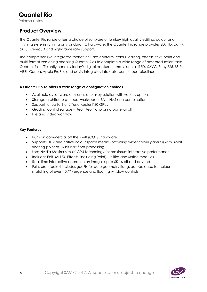#### <span id="page-5-0"></span>**Product Overview**

The Quantel Rio range offers a choice of software or turnkey high quality editing, colour and finishing systems running on standard PC hardware. The Quantel Rio range provides SD, HD, 2K, 4K, 6K, 8k stereo3D and high-frame rate support.

The comprehensive integrated toolset includes conform, colour, editing, effects, text, paint and multi-format versioning enabling Quantel Rios to complete a wide range of post production tasks. Quantel Rio efficiently handles today's digital capture formats such as RED, XAVC, Sony F65, SStP, ARRI, Canon, Apple ProRes and easily integrates Into data-centric post pipelines.

#### **A Quantel Rio 4K offers a wide range of configuration choices**

- Available as software only or as a turnkey solution with various options
- Storage architecture local workspace, SAN, NAS or a combination
- Support for up to 1 or 2 Tesla Kepler K80 GPUs
- Grading control surface Neo, Neo Nano or no panel at all
- File and Video workflow

#### **Key Features**

- Runs on commercial off the shelf (COTS) hardware
- Supports HDR and native colour space media (providing wider colour gamuts) with 32-bit floating-point or 16-bit half-float processing
- Uses Nvidia Maximus multi-GPU technology for maximum interactive performance
- Includes Edit, MLTFX, Effects (including Paint), Utilities and Scribe modules
- Real-time interactive operation on images up to 6K 16 bit and beyond
- Full stereo toolset includes geoFix for auto geometry fixing, autobalance for colour matching of eyes, X/Y vergence and floating window controls

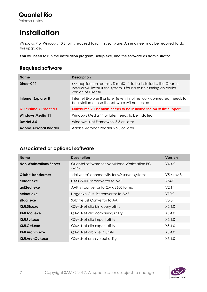# <span id="page-6-0"></span>**Installation**

Windows 7 or Windows 10 64bit is required to run this software. An engineer may be required to do this upgrade.

**You will need to run the installation program, setup.exe, and the software as administrator.** 

### <span id="page-6-1"></span>**Required software**

| <b>Name</b>                                                                                         | <b>Description</b>                                                                                                                                              |  |
|-----------------------------------------------------------------------------------------------------|-----------------------------------------------------------------------------------------------------------------------------------------------------------------|--|
| DirectX 11                                                                                          | x64 application requires DirectX 11 to be installed the Quantel<br>installer will install if the system is found to be running an earlier<br>version of DirectX |  |
| <b>Internet Explorer 8</b>                                                                          | Internet Explorer 8 or later (even if not network connected) needs to<br>be installed or else the software will not run up                                      |  |
| QuickTime 7 Essentials needs to be installed for .MOV file support<br><b>QuickTime 7 Essentials</b> |                                                                                                                                                                 |  |
| <b>Windows Media 11</b>                                                                             | Windows Media 11 or later needs to be installed                                                                                                                 |  |
| DotNet 3.5                                                                                          | Windows .Net Framework 3.5 or Later                                                                                                                             |  |
| Adobe Acrobat Reader V6.0 or Later<br>Adobe Acrobat Reader                                          |                                                                                                                                                                 |  |

#### <span id="page-6-2"></span>**Associated or optional software**

| <b>Name</b>                    | <b>Description</b>                                     | <b>Version</b> |
|--------------------------------|--------------------------------------------------------|----------------|
| <b>Neo Workstations Server</b> | Quantel software for Neo/Nano Workstation PC<br>(Win7) | V4.4.0         |
| <b>QTube Transformer</b>       | 'deliver to' connectivity for sQ server systems        | $V5.4$ rev 8   |
| edlaaf.exe                     | CMX 3600 list convertor to AAF                         | V54.0          |
| agf2edl.exe                    | AAF list convertor to CMX 3600 format                  | V2.14          |
| nclagf.exe                     | Negative Cut List convertor to AAF                     | V10.0          |
| stlaaf.exe                     | Subtitle List Convertor to AAF                         | V3.0           |
| XMLDir.exe                     | QXMLNet clip bin query utility                         | X5.4.0         |
| XMLTool.exe                    | QXMLNet clip combining utility                         | X5.4.0         |
| XMLPut.exe                     | <b>QXMLNet clip import utility</b>                     | X5.4.0         |
| XMLGet.exe                     | <b>QXMLNet clip export utility</b>                     | X5.4.0         |
| <b>XMLArchin.exe</b>           | <b>QXMLNet archive in utility</b>                      | X5.4.0         |
| <b>XMLArchOut.exe</b>          | <b>QXMLNet archive out utility</b>                     | X5.4.0         |

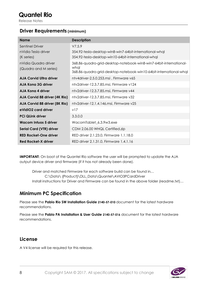#### <span id="page-7-0"></span>**Driver Requirements (minimum)**

| <b>Name</b>                                                 | <b>Description</b>                                                                                                                               |
|-------------------------------------------------------------|--------------------------------------------------------------------------------------------------------------------------------------------------|
| <b>Sentinel Driver</b><br>nVidia Tesla driver<br>(K series) | V7.5.9<br>354.92-tesla-desktop-win8-win7-64bit-international-whal<br>354.92-tesla-desktop-win10-64bit-international-whal                         |
| nVidia Quadro driver<br>(Quadro and M series)               | 368.86-quadro-grid-desktop-notebook-win8-win7-64bit-international-<br>whal<br>368.86-quadro-grid-desktop-notebook-win10-64bit-international-whql |
| <b>AJA Corvid Ultra driver</b>                              | ntv4driver-2.5.0.253.msi, Firmware v65                                                                                                           |
| AJA Kong 3G driver                                          | ntv2driver-12.3.7.85.msi, Firmware v124                                                                                                          |
| AJA Kong 4 driver                                           | ntv2driver-12.3.7.85.msi, Firmware v44                                                                                                           |
| AJA Corvid 88 driver (4K Rio)                               | ntv2driver-12.3.7.85.msi, Firmware v32                                                                                                           |
| AJA Corvid 88 driver (8K Rio)                               | ntv2driver-12.1.4.146.msi, Firmware v25                                                                                                          |
| eVidIO2 card driver                                         | v17                                                                                                                                              |
| <b>PCi QLink driver</b>                                     | 3.3.0.0                                                                                                                                          |
| Wacom Intuos 5 driver                                       | WacomTablet_6.3.9w3.exe                                                                                                                          |
| <b>Serial Card (VTR) driver</b>                             | CDM 2.06.00 WHQL Certified.zip                                                                                                                   |
| <b>RED Rocket-One driver</b>                                | RED driver 2.1.23.0, Firmware 1.1.18.0                                                                                                           |
| <b>Red Rocket-X driver</b>                                  | RED driver 2.1.31.0, Firmware 1.4.1.16                                                                                                           |

**IMPORTANT:** On boot of the Quantel Rio software the user will be prompted to update the AJA output device driver and firmware (if it has not already been done).

Driver and matched Firmware for each software build can be found in… C:\Data\ {Product}\DLL\_Data\Quantel\AVIO3PCardDriver Install instructions for Driver and Firmware can be found in the above folder (readme.txt)...

#### <span id="page-7-1"></span>**Minimum PC Specification**

Please see the **Pablo Rio SW Installation Guide 2140-57-010** document for the latest hardware recommendations.

Please see the **Pablo PA Installation & User Guide 2140-57-016** document for the latest hardware recommendations.

#### <span id="page-7-2"></span>**License**

A V4 license will be required for this release.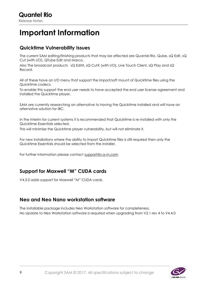# <span id="page-8-0"></span>**Important Information**

#### <span id="page-8-1"></span>**Quicktime Vulnerability Issues**

The current SAM editing/finishing products that may be affected are Quantel Rio, Qube, sQ Edit, sQ Cut (with I/O), QTube Edit and Marco.

Also The broadcast products sQ EditX, sQ CutX (with I/O), Live Touch Client, sQ Play and sQ Record.

All of these have an I/O menu that support the import/soft mount of Quicktime files using the Quicktime codecs.

To enable this support the end user needs to have accepted the end user license agreement and installed the Quicktime player.

SAM are currently researching an alternative to having the Quicktime installed and will have an alternative solution for IBC.

In the interim for current systems it is recommended that Quicktime is re-installed with only the Quicktime Essentials selected.

This will minimise the Quicktime player vulnerability, but will not eliminate it.

For new installations where the ability to import Quicktime files is still required then only the Quicktime Essentials should be selected from the installer.

For further information please contact [support@s-a-m.com](mailto:support@s-a-m.com)

#### <span id="page-8-2"></span>**Support for Maxwell "M" CUDA cards**

V4.3.0 adds support for Maxwell "M" CUDA cards.

#### <span id="page-8-3"></span>**Neo and Neo Nano workstation software**

The installable package includes Neo Workstation software for completeness. No Update to Neo Workstation software is required when upgrading from V2.1 rev 4 to V4.4.0

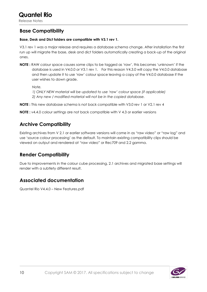#### <span id="page-9-0"></span>**Base Compatibility**

#### **Base, Desk and Dict folders are compatible with V3.1 rev 1.**

V3.1 rev 1 was a major release and requires a database schema change. After installation the first run up will migrate the base, desk and dict folders automatically creating a back-up of the original ones.

**NOTE :** RAW colour space causes some clips to be tagged as 'raw', this becomes 'unknown' if the database is used in V4.0.0 or V3.1 rev 1. For this reason V4.3.0 will copy the V4.0.0 database and then update it to use 'raw' colour space leaving a copy of the V4.0.0 database if the user wishes to down grade.

*Note.*

*1) ONLY NEW material will be updated to use 'raw' colour space (if applicable) 2) Any new / modified material will not be in the copied database.*

**NOTE :** This new database schema is not back compatible with V3.0 rev 1 or V2.1 rev 4

**NOTE :** v4.4.0 colour settings are not back compatible with V 4.3 or earlier versions

#### <span id="page-9-1"></span>**Archive Compatibility**

Existing archives from V 2.1 or earlier software versions will come in as "raw video" or "raw log" and use 'source colour processing' as the default. To maintain existing compatibility clips should be viewed on output and rendered at "raw video" or Rec709 and 2.2 gamma.

#### <span id="page-9-2"></span>**Render Compatibility**

Due to improvements in the colour cube processing, 2.1 archives and migrated base settings will render with a subtlety different result.

#### <span id="page-9-3"></span>**Associated documentation**

Quantel Rio V4.4.0 – New Features.pdf

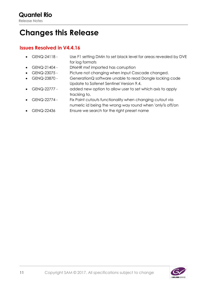# <span id="page-10-1"></span><span id="page-10-0"></span>**Changes this Release**

- GENQ-24118 Use F1 setting DMin to set black level for areas revealed by DVE for log formats
- GENQ-21404 DNxHR mxf imported has corruption
- GENQ-23075 Picture not changing when Input Cascade changed.
- GENQ-23870 GenerationQ software unable to read Dongle locking code Update to Safenet Sentinel Version 9.4.
- GENQ-22777 added new option to allow user to set which axis to apply tracking to.
- GENQ-22774 Fix Paint cutouts functionality when changing cutout via numeric id being the wrong way round when 'only'is off/on
- GENQ-22436 Ensure we search for the right preset name

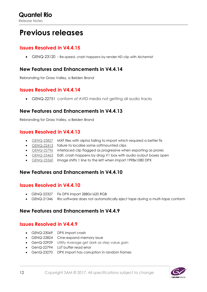# <span id="page-11-0"></span>**Previous releases**

#### <span id="page-11-1"></span>**Issues Resolved in V4.4.15**

GENQ-23120 - Re-speed, crash happens by render HD clip with Alchemist

#### <span id="page-11-2"></span>**New Features and Enhancements in V4.4.14**

Rebranding for Grass Valley, a Belden Brand

#### <span id="page-11-3"></span>**Issues Resolved in V4.4.14**

GENQ-22751 conform of AVID media not getting all audio tracks

#### <span id="page-11-4"></span>**New Features and Enhancements in V4.4.13**

Rebranding for Grass Valley, a Belden Brand

#### <span id="page-11-5"></span>**Issues Resolved in V4.4.13**

- [GENQ-23827](https://tracker.s-a-m.com/browse/GENQ-23827) MXF files with alpha failing to import which required a better fix
- [GENQ-22413](https://tracker.s-a-m.com/browse/GENQ-22413) failure to localise some softmounted clips
- [GENQ-22796](https://tracker.s-a-m.com/browse/GENQ-22796) interlaced clip flagged as progressive when exporting as prores
- [GENQ-23463](https://tracker.s-a-m.com/browse/GENQ-23463) Edit, crash happens by drag V1 box with audio output boxes open
- [GENQ-23360](https://tracker.s-a-m.com/browse/GENQ-23360) Image shifts 1 line to the left when import 1998x1080 DPX

#### <span id="page-11-6"></span>**New Features and Enhancements in V4.4.10**

#### <span id="page-11-7"></span>**Issues Resolved in V4.4.10**

- GENQ-22327 Fix DPX import 2880x1620 RGB
- GENQ-21346 Rio software does not automatically eject tape during a multi-tape conform

#### <span id="page-11-9"></span><span id="page-11-8"></span>**New Features and Enhancements in V4.4.9**

- GENQ-23069 DPX import crash
- GENQ-22824 Cine-expand memory issue
- GenQ-22929 Utility Average get dark as step value gain
- GenQ-22794 LUT buffer read error
- GenQ-23270 DPX import has corruption in random frames

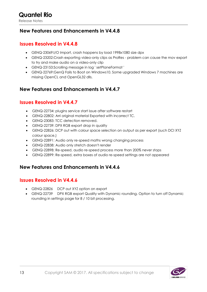#### <span id="page-12-0"></span>**New Features and Enhancements in V4.4.8**

#### <span id="page-12-1"></span>**Issues Resolved in V4.4.8**

- GENQ-23069:I/O Import, crash happens by load 1998x1080 size dpx
- GENQ-23202:Crash exporting video-only clips as ProRes problem can cause the mov export to try and make audio on a video-only clip
- GENQ-23153:Scrolling message in log ' setPlaneFormat '
- GENQ-22769:GenQ Fails to Boot on Windows10. Some upgraded Windows 7 machines are missing OpenCL and OpenGL32 dlls.

#### <span id="page-12-2"></span>**New Features and Enhancements in V4.4.7**

#### <span id="page-12-3"></span>**Issues Resolved in V4.4.7**

- GENQ-22734: plugins service start issue after software restart
- GENQ-22802: Arri original material Exported with incorrect TC.
- GENQ-23083: TCC detection removed.
- GENQ-22739: DPX RGB export drop in quality
- GENQ-22826: DCP out with colour space selection on output as per export (such DCI XYZ colour space.)
- GENQ-22891: Audio only re-speed maths wrong changing process
- GENQ-22838: Audio only stretch doesn't render
- GENQ-22898: Re-speed, audio re-speed process more than 200% never stops
- GENQ-22899: Re-speed, extra boxes of audio re-speed settings are not appeared

#### <span id="page-12-5"></span><span id="page-12-4"></span>**New Features and Enhancements in V4.4.6**

- GENQ-22826 DCP out XYZ option on export
- GENQ-22739 DPX RGB export Quality with Dynamic rounding. Option to turn off Dynamic rounding in settings page for 8 / 10 bit processing.

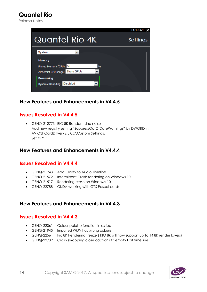Release Notes

|                                            | T4.4.6.69 |
|--------------------------------------------|-----------|
| <b>Quantel Rio 4K</b>                      | Settings  |
| System                                     |           |
| <b>Memory</b>                              |           |
| Pinned Memory (CPU): 50<br>%               |           |
| Alchemist GPU usage: Share GPUs            |           |
| <b>Processing</b>                          |           |
| $\checkmark$<br>Dynamic Rounding: Disabled |           |
|                                            |           |

#### <span id="page-13-0"></span>**New Features and Enhancements in V4.4.5**

#### <span id="page-13-1"></span>**Issues Resolved in V4.4.5**

 GENQ-212773 RIO 8K Random Line noise Add new registry setting "SuppressOutOfDateWarnings" by DWORD in AVIO3PCardDriver\2.5.0.x\Custom Settings. Set to "1".

#### <span id="page-13-2"></span>**New Features and Enhancements in V4.4.4**

#### <span id="page-13-3"></span>**Issues Resolved in V4.4.4**

- GENQ-21243 Add Clarity to Audio Timeline
- GENQ-21572 Intermittent Crash rendering on Windows 10
- GENQ-21517 Rendering crash on Windows 10
- GENQ-22788 CUDA working with GTX Pascal cards

#### <span id="page-13-5"></span><span id="page-13-4"></span>**New Features and Enhancements in V4.4.3**

- GENQ-22061 Colour palette function in scribe
- GENQ-21945 Imported WMV has wrong colours
- GENQ-22561 Rio 8K Rendering freeze ( RIO 8k will now support up to 14 8K render layers)
- GENQ-22732 Crash swapping close captions to empty Edit time line.

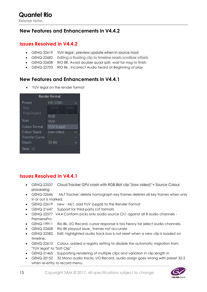#### <span id="page-14-0"></span>**New Features and Enhancements in V4.4.2**

#### <span id="page-14-1"></span>**Issues Resolved in V4.4.2**

- GENQ-22619 YUV legal, preview update when in source mod
- GENQ-22682 Editing a floating clip to timeline resets scrollbar offsets
- GENQ-22608 RIO 8K, Avoid double quad split, wait for msg to finish
- GENQ-22703 RIO 8k , Incorrect Audio heard at Beginning of play

#### <span id="page-14-2"></span>**New Features and Enhancements in V4.4.1**

YUV legal on the render format

| <b>Render Format</b>  |                       |  |
|-----------------------|-----------------------|--|
| Preset                | HD 1080               |  |
| Size                  | 1080<br>$1920 \times$ |  |
| Pixel Aspect          |                       |  |
|                       | RGB                   |  |
| Scan                  | YUV                   |  |
| Colour Format         | YUV (Legal)           |  |
| Colour Space          | (raw video)           |  |
| <b>Transfer Curve</b> | ◡                     |  |
| Depth                 | 10 Bit                |  |
| Save                  |                       |  |

- <span id="page-14-3"></span> GENQ-22537 Cloud Tracker GPU crash with RGB 8bit clip "(raw video)" + Source Colour processing
- [GENQ-22646](http://tracker.s-a-m.com/browse/GENQ-22646) MLT Tracker: delete homograph key frames deletes all key frames when only in or out is marked.
- [GENQ-22619](http://tracker.s-a-m.com/browse/GENQ-22619) new MLT, add YUV (Legal) to the Render Format
- [GENQ-21647](http://tracker.s-a-m.com/browse/GENQ-21647) Support for third-party LUT formats
- [GENQ-22577](http://tracker.s-a-m.com/browse/GENQ-22577) V4.4 Conform picks only audio source Ch1 against all 8 audio channels PremierePro
- [GENQ-19911](http://tracker.s-a-m.com/browse/GENQ-19911) Rio 8k, I/O Record, cursor response is too heavy for select audio channels.
- [GENQ-22608](http://tracker.s-a-m.com/browse/GENQ-22608) Rio 8K playout issue\_ frames not accurate
- [GENQ-22582.](http://tracker.s-a-m.com/browse/GENQ-22582) Edit, highlighted audio track box is not reset when a new clip is loaded on timeline.
- [GENQ-22610](http://tracker.s-a-m.com/browse/GENQ-22610) Colour, added a registry setting to disable the automatic migration from "YUV legal" to "Soft Clip"
- [GENQ-21465](http://tracker.s-a-m.com/browse/GENQ-21465) Supporting rendering of multiple clips and variation in clip length in
- [GENQ-20152](http://tracker.s-a-m.com/browse/GENQ-20152) 32 Mono audio tracks. I/O Record, audio assign goes wrong with preset 32-2 when re-entry to record menu.

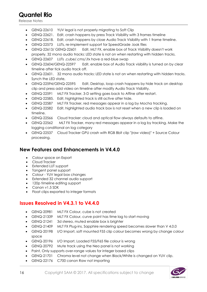Release Notes

- [GENQ-22610](http://tracker.s-a-m.com/browse/GENQ-22610) YUV legal is not properly migrating to Soft Clip
- [GENQ-22621.](http://tracker.s-a-m.com/browse/GENQ-22621) Edit, crash happens by press Track Visibility with 3 frames timeline
- [GENQ-22618.](http://tracker.s-a-m.com/browse/GENQ-22618) Edit, crash happens by close Audio Track Visibility with 1 frame timeline.
- [GENQ-22573](http://tracker.s-a-m.com/browse/GENQ-22573) LUTs, re-implement support for SpeedGrade .look files
- [GENQ-22613/](http://tracker.s-a-m.com/browse/GENQ-22613) [GENQ-22601](http://tracker.s-a-m.com/browse/GENQ-22601) Edit, MLT FX, enable box of Track Visibility doesn't work properly. 32 mono audio tracks: LED state is not on when restarting with hidden tracks.
- [GENQ-22607](http://tracker.s-a-m.com/browse/GENQ-22607) LUTs .cube/.cms/.itx have a red-blue swap
- [GENQ-22604/](http://tracker.s-a-m.com/browse/GENQ-22604)[GENQ-22597](http://tracker.s-a-m.com/browse/GENQ-22597) Edit, enable box of Audio Track visibility is turned on by clear timeline after tick audio track off.
- [GENQ-22601.](http://tracker.s-a-m.com/browse/GENQ-22601) 32 mono audio tracks: LED state is not on when restarting with hidden tracks. Synch the LED state,
- [GENQ-22594/](http://tracker.s-a-m.com/browse/GENQ-22594)[GENQ-22595](http://tracker.s-a-m.com/browse/GENQ-22595) Edit, Desktop, loop crash happens by hide track on desktop clip and press add video on timeline after modify Audio Track Visibility.
- [GENQ-22591](http://tracker.s-a-m.com/browse/GENQ-22591) MLT FX Tracker, 3-D setting goes back to Affine after restart.
- [GENQ-22585.](http://tracker.s-a-m.com/browse/GENQ-22585) Edit, highlighted track is still active after hide.
- [GENQ-22587](http://tracker.s-a-m.com/browse/GENQ-22587) MLT FX Tracker, red messages appear in a log by Mocha tracking.
- [GENQ-22582](http://tracker.s-a-m.com/browse/GENQ-22582) Edit, highlighted audio track box is not reset when a new clip is loaded on timeline.
- [GENQ-22566](http://tracker.s-a-m.com/browse/GENQ-22566) Cloud tracker: cloud and optical flow always defaults to affine.
- [GENQ-22562](http://tracker.s-a-m.com/browse/GENQ-22562) MLT FX Tracker, many red messages appear in a log by tracking. Make the logging conditional on log category
- [GENQ-22537](http://tracker.s-a-m.com/browse/GENQ-22537) Cloud Tracker GPU crash with RGB 8bit clip "(raw video)" + Source Colour processing.

#### <span id="page-15-0"></span>**New Features and Enhancements in V4.4.0**

- Colour space on Export
- Cloud Tracker
- Extended LUT support
- Tangent panel support
- Colour YUV legal box changes
- Extended 32 channel audio support
- 120p timeline editing support
- Canon v1.5 SDK

space

Float clips exported to integer formats

#### <span id="page-15-1"></span>**Issues Resolved in V4.3.1 to V4.4.0**

- GENQ-20981 MLT FX Colour, cube is not created
- GENQ-21339 MLT FX Colour, curve point has time lag to start moving
- GENQ-21241 3d stereo, muted enable box is brighter
- GENQ-21409 MLT FX Plug-ins, Sapphire rendering speed becomes slower than V 4.0.0
- GENQ-20198 I/O Import, soft mounted F55 clip colour becomes wrong by change colour
- GENQ-20196 I/O Import, Loaded F55/F65 file colour is wrong
- GENQ-20792 Mute track using the Neo panel is not working
- Paint, Only supports over-range values for integer based clips
- GENQ-21701 Chroma level not change when Black/White is changed on YUV clip.
- GENQ-22176 C700 canon Raw not importing

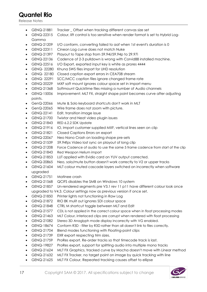- GENQ-21881 Tracker Offset when tracking different canvas size set
- GENQ-22315 Colour, lift control is too sensitive when render format is set to Hybrid Log-Gamma
- GENQ-21209 I/O conform, converting failed to aaf when 1st event's duration is 0
- GENQ-22311 Cineon Log curve does not match Nuke
- GENQ-21397 Playout to Tape stop from 59.94i/59.94p to 29.97i
- GENQ-22136 Cadence of 2-3 pulldown is wrong with Corvid88 installed machine.
- GENQ-22516 I/O Export, exported input key is white as prores 4444
- GENQ- 22280 Khuna SWS files import for UHD resolution
- GENQ- 22180 Closed caption export errors in CEA708 stream
- GENQ- 22291 SCC/MCC caption files ignore changed frame rate
- GENQ-20229 MXF soft mount ignores colour space set in import menu
- GENQ-21368 Softmount Quicktime files missing a number of Audio channels
- GENQ-15006 Improvement: MLT FX, straight shape point becomes curve after adjusting points.
- GenQ-22066 Mute & Solo keyboard shortcuts don't work in MLT
- GenQ-22065 Wire frame does not zoom with picture.
- GENQ-22141 Edit, transition image issue
- GENQ-21700 Twixtor and Neat video plugin issues
- GENQ-21843 RED 6.2.2 SDK Update
- GENQ-21916 IO, Import customer supplied MXF, vertical lines seen on clip
- GENQ-21821 Closed Captions Errors on export
- GENQ-22067 Neo Nano Crash on loading shape pre-sets
- GENQ-21539 59.94fps Video lost sync on playout of long clip
- GENQ-21208 Force Cadence of audio to use the same 5 frame cadence from start of the clip
- GENQ-21843 Red Weapon Helium import
- GENQ-21853 LUT applied with Evidio card on YUV output corrected.
- GENQ-20865 Neo, solo/mute button doesn't work correctly to V2 or upper tracks
- GENQ-21604 MLT colour muted cascade layers switched on incorrectly when software upgraded
- GENQ-21751 Matinee crash
- GENQ-21568 QCIFS disables the SMB on Windows 10 system
- GENQ-21857 Un-rendered segments pre V3.1 rev 11 p11 have different colour look once upgraded to V4.3. Colour settings now as previous version if once set.
- GENQ-21850 Printer lights not functioning in Raw Log
- GENQ-21872 RIO 8K mulit out ignores SDI colour space
- GENQ-21848 CTRL M shortcut toggle between MLT and Edit
- GENQ-21577 CDL is not applied in the correct colour space when in float processing modes
- GENQ-21463 MLT Colour, interlaced clips are corrupt when rendered with float processing
- GENQ-21082 Stereo 3D Anaglyph mode display incorrectly with VG enabled.
- GENQ-18674 Conform R3D filter by R3D rather than all doesn't link to files correctly.
- GENQ-21704 Blend modes functioning with Floating-point clips
- GENQ-21739 EXR export respecting trim sizes.
- GENQ-21759 ProRes export. Re-order tracks so that timecode track is last.
- GENQ-19827 ProRes export, support for splitting audio into multiple mono tracks
- GENQ-21624 MLT FX Graphics, tracked curve by Mocha doesn't move with Linear method
- GENQ-21632 MLT FX Tracker, no target point on image by quick tracking with line
- GENQ-21625 MLT FX Colour, Repeated tracking causes offset to ellipse

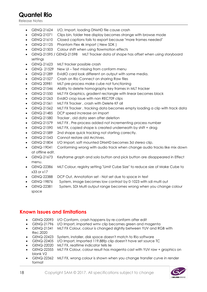Release Notes

- GENQ-21624 I/O, Import, loading DNxHD file cause crash
- GENQ-21071 Clips bin, folder tree display becomes strange with browse mode
- GENQ-21610 Closed captions fails to export because "more frames needed"
- GENQ-21125 Phantom Flex 4k import ( New SDK )
- GENQ-21503 Colour shift when using flowmotion effects
- GENQ-21595 / GENQ-21598 MLT Tracker data of shape has offset when using storyboard settings
- GENQ-21623 MLT tracker possible crash
- GENQ- 21529 New UI Text missing from conform menu
- GENQ-21289 EvidIO card look different on output with some media.
- GENQ-21527 Crash on Rio Connect on sharing Raw files
- GENQ 20981 MLT pre-process make cube not functioning
- GENQ-21546 Ability to delete homography key frames in MLT tracker
- GENQ-21550 MLT FX Graphics, gradient rectangle with linear becomes black
- GENQ-21263 EvidIO crop issue with non REC709 clips
- GENQ-21561 MLT FX Tracker , crash with Delete KF all
- GENQ-21562 MLT FX Tracker , tracking data becomes empty loading a clip with track data
- GENQ-21485 DCP speed increase on import
- GENQ-21580 Tracker , old data seen after deletion
- GENQ-21579 MLT FX , Pre-process added not incrementing process number
- GENQ-21590 MLT FX, copied shape is created underneath by shift + drag
- GENQ-21589 2nd shape quick tracking not starting correctly.
- [GENQ-21543](http://tracker.s-a-m.com/browse/GENQ-21543) Cannot restore old Archives.
- [GENQ-21804](http://tracker.s-a-m.com/browse/GENQ-21804) I/O Import, soft mounted DNxHD becomes 3d stereo clip.
- [GENQ-19041](http://tracker.s-a-m.com/browse/GENQ-19041) Conforming wrong with audio track when change audio tracks like mix down at offline edit.
- [GENQ-21673](http://tracker.s-a-m.com/browse/GENQ-21673) Keyframe graph and solo button and pick button are disappeared in Effect menu.
- [GENQ-22386](http://tracker.s-a-m.com/browse/GENQ-22386) MLT Colour, registry setting "Limit Cube Size" to reduce size of Make Cube to x33 or x17
- [GENQ-22388](http://tracker.s-a-m.com/browse/GENQ-22388) DCP Out, Annotation set Not set due to space in text
- GENQ-19876 System, image becomes low contrast by 0-1023 with sdi multi out
- GENQ-22381 System, SDI Multi output range becomes wrong when you change colour space

#### <span id="page-17-0"></span>**Known Issues and limitations**

- GENQ-22093 I/O Conform, crash happens by re-conform after edit
- GENQ-21796 I/O Import, imported wmv clip becomes green and magenta
- GENQ-21341 MLT FX Colour, colour is changed slightly between YUV and RGB with Rec.2020
- GENQ-22423 System, installer, disk space doesn't match to Rio software
- GENQ-22405 I/O Import, Imported 119.88fp clip doesn't have set source TC
- GENQ-22020 MLT FX, realtime indicator tells lie
- GENQ-22355 MLT FX Colour, colour result has magenta cast with YUV raw + graphics on blank V2
- GENQ-22362 MLT FX, wrong colour is shown when you change transfer curve in render format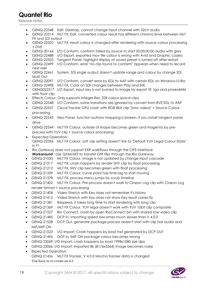- GENQ-22348 Edit, Desktop, cannot change input channel with 32ch audio
- GENQ-22314 MLT FX, Edit, converted colour result has different chroma level between MLT FX and SDI output
- GENQ-22302 MLT FX, result colour is changed after rendering with source colour processing + DVE
- GENQ-20164 I/O Conform, conform failed by source tc start 00:00:00:00 audio with grey
- GENQ-22488 I/O Export, exported mov file colour is wrong with Avid and Graphic codec
- GENQ-22503 Tangent Panel, highlight display of saved preset is turned off after restart
- GENQ-22499 I/O Conform, error "no clip found to conform" appears when need to record next reel
- GENQ-22461 System, SDI single output doesn't update range and colour by change SDI Multi Out
- GENQ-22097 I/O Conform, convert error by EDL to AAF with certain EDL on Windows10 Rio
- GENQ-22498 MLT FX, Color on SDI changes between Play and Still.
- GENQ022517 I/O Export, input key is not burned to image by export tif, tga and prores4444 with float clip
- Effects Colour, Only supports Integer Rec.709 colour space clips
- GENQ-22548 I/O Conform, some transitions are ignored by convert from BVE EDL to AAF
- GENQ-22537 Cloud Tracker GPU crash with RGB 8bit clip "(raw video)" + Source Colour processing
- GENQ-22545 Neo Panel, function buttons mapping is broken, if you install tangent panel drive
- GENQ-22544 MLT FX Colour, outside of shape becomes green and magenta by preprocess with YUV clip + source colour processing
- Expected Operation: GENQ-22396 MLT FX Colour, soft clip setting doesn't link to "Default YUV Legal Colour State" in F1
- Rio Gateway does not support EXR workflows through the CIFS interface *Workaround : Use QXMLNET to transfer EXR files through the Rio Gateway*
- GENQ-21050 MLT FX Colour, image is not updated by change input cascade
- GENQ-21217 MLT FX, crash happens by render SHV clip by float processing
- GENQ-21212 MLT FX, SHV clip becomes green with float processing
- GENQ-21339 MLT FX Colour, curve point has time lag to start moving
- GENQ-21378 MLT FX, process menu jumps by scrub timeline
- GENQ-21402 MLT FX Colour, Pre-process doesn't work to Cineon Log clip with Cineon Log render format + source processing
- GENQ-21408 Video Stretch with Key does not remember it's history
- GENQ-21412 Video Stretch with Key does not show Key result correctly
- GENQ-21381 Respeed, it takes long time to start rendering with long clip
- GENQ-21369 MLT FX Colour, YUV legal doesn't work with YUV 10bit clip composite
- GENQ-21527 Rio Connect, crash by open RioConnect bin with shared raw video clip
- GENQ-21485 DCP In, importing speed becomes much slower than V 4.0.0
- GENQ-21528 DCP Out, generate package process doesn't start with clip has audio and IMF/IMP ON
- GENQ-21523 I/O Import, Crash happens by load mxf generated by DCP OUT
- GENQ-21496 DCP In, IMP ON package colour becomes wrong
- GENQ-23069: I/O Import, crash happens by load 1998x1080 size dpx
- GENQ-23066: I/O Import, imported 8k (8176x5564) image becomes noise
- Expected Operation: GENQ-21436 MLT FX Tracker, V 4.0.0 Mocha tracker data is changed **You have to re-create on 4.3**

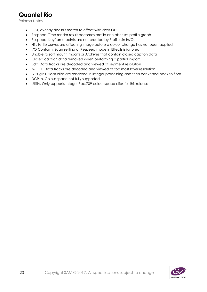- OFX, overlay doesn't match to effect with desk OFF
- Respeed, Time render result becomes profile one after set profile graph
- Respeed, Keyframe points are not created by Profile Lin In/Out
- HSL fettle curves are affecting image before a colour change has not been applied
- I/O Conform, Scan setting of Respeed mode in Effects is ignored
- Unable to soft mount Imports or Archives that contain closed caption data
- Closed caption data removed when performing a partial import
- Edit, Data tracks are decoded and viewed at segment resolution
- MLT FX, Data tracks are decoded and viewed at top most layer resolution
- QPlugins, Float clips are rendered in Integer processing and then converted back to float
- DCP In, Colour space not fully supported
- Utility, Only supports Integer Rec.709 colour space clips for this release

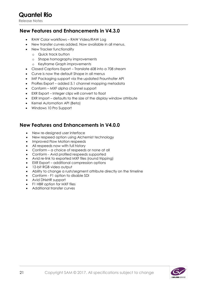#### <span id="page-20-0"></span>**New Features and Enhancements in V4.3.0**

- RAW Color workflows RAW Video/RAW Log
- New transfer curves added. Now available in all menus.
- New Tracker functionality
	- o Quick track button
	- o Shape homography improvements
	- o Keyframe Graph improvements
- Closed Captions Export Translate 608 into a 708 stream
- Curve is now the default Shape in all menus
- IMF Packaging support via the updated Fraunhofer API
- ProRes Export added 5.1 channel mapping metadata
- Conform MXF alpha channel support
- EXR Export Integer clips will convert to float
- EXR Import defaults to the size of the display window attribute
- Kernel Automation API (Beta)
- Windows 10 Pro Support

#### <span id="page-20-1"></span>**New Features and Enhancements in V4.0.0**

- New re-designed user interface
- New respeed option using Alchemist technology
- Improved Flow Motion respeeds
- All respeeds now with full history
- Conform a choice of respeeds or none at all
- Conform Avid profiled respeeds supported
- Avid re-link to exported MXF files (round tripping)
- EXR Export additional compression options
- 12-bit RGB video output
- Ability to change a rush/segment attribute directly on the timeline
- Conform F1 option to disable SDI
- Avid DNxHR support
- F1 HBR option for MXF files
- Additional transfer curves